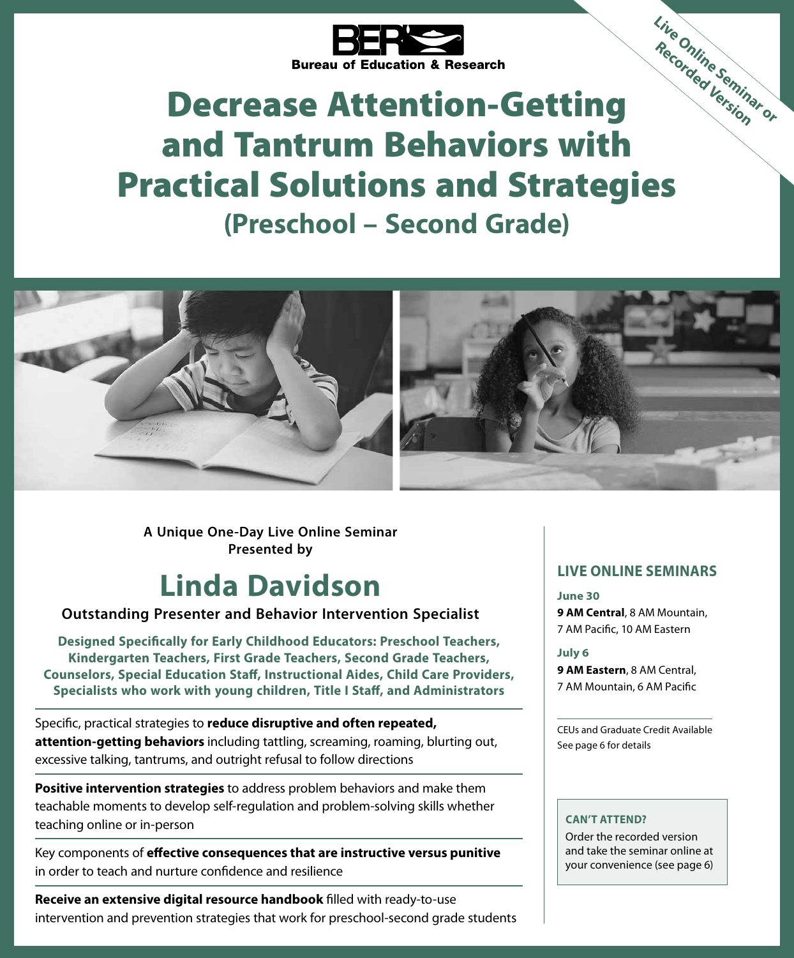

# Decrease Attention-Getting and Tantrum Behaviors with Practical Solutions and Strategies **(Preschool – Second Grade) Live Online Seminar or Recorded Version**



**A Unique One-Day Live Online Seminar Presented by**

## **Linda Davidson**

#### **Outstanding Presenter and Behavior Intervention Specialist**

**Designed Specifically for Early Childhood Educators: Preschool Teachers, Kindergarten Teachers, First Grade Teachers, Second Grade Teachers, Counselors, Special Education Staff, Instructional Aides, Child Care Providers, Specialists who work with young children, Title I Staff, and Administrators**

Specific, practical strategies to **reduce disruptive and often repeated, attention-getting behaviors** including tattling, screaming, roaming, blurting out, excessive talking, tantrums, and outright refusal to follow directions

**Positive intervention strategies** to address problem behaviors and make them teachable moments to develop self-regulation and problem-solving skills whether teaching online or in-person

Key components of **effective consequences that are instructive versus punitive**  in order to teach and nurture confidence and resilience

**Receive an extensive digital resource handbook** filled with ready-to-use intervention and prevention strategies that work for preschool-second grade students

#### **LIVE ONLINE SEMINARS**

**June 30 9 AM Central**, 8 AM Mountain, 7 AM Pacific, 10 AM Eastern

**July 6**

**9 AM Eastern**, 8 AM Central, 7 AM Mountain, 6 AM Pacific

CEUs and Graduate Credit Available See page 6 for details

#### **CAN'T ATTEND?**

Order the recorded version and take the seminar online at your convenience (see page 6)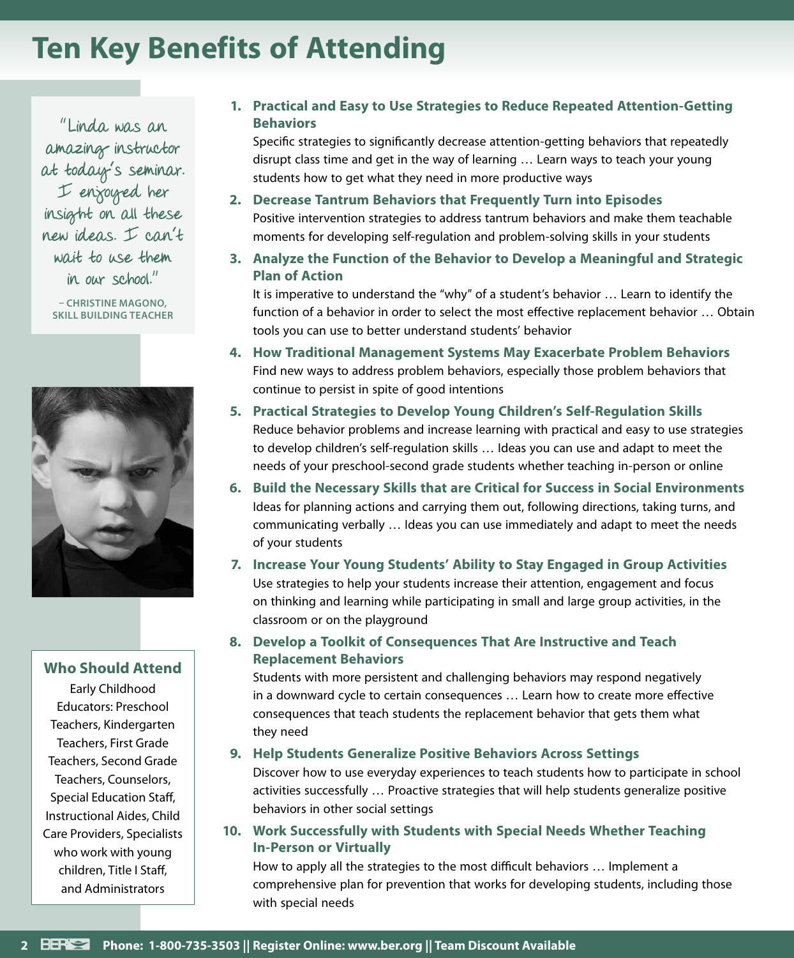## **Ten Key Benefits of Attending**

"Linda was an amazing instructor at today's seminar. I enjoyed her insight on all these new ideas. I can't wait to use them in our school."

**– CHRISTINE MAGONO, SKILL BUILDING TEACHER**



#### **Who Should Attend**

Early Childhood Educators: Preschool Teachers, Kindergarten Teachers, First Grade Teachers, Second Grade Teachers, Counselors, Special Education Staff, Instructional Aides, Child Care Providers, Specialists who work with young children, Title I Staff, and Administrators

#### **1. Practical and Easy to Use Strategies to Reduce Repeated Attention-Getting Behaviors**

Specific strategies to significantly decrease attention-getting behaviors that repeatedly disrupt class time and get in the way of learning … Learn ways to teach your young students how to get what they need in more productive ways

- **2. Decrease Tantrum Behaviors that Frequently Turn into Episodes** Positive intervention strategies to address tantrum behaviors and make them teachable moments for developing self-regulation and problem-solving skills in your students
- **3. Analyze the Function of the Behavior to Develop a Meaningful and Strategic Plan of Action**

It is imperative to understand the "why" of a student's behavior … Learn to identify the function of a behavior in order to select the most effective replacement behavior … Obtain tools you can use to better understand students' behavior

- **4. How Traditional Management Systems May Exacerbate Problem Behaviors** Find new ways to address problem behaviors, especially those problem behaviors that continue to persist in spite of good intentions
- **5. Practical Strategies to Develop Young Children's Self-Regulation Skills** Reduce behavior problems and increase learning with practical and easy to use strategies to develop children's self-regulation skills … Ideas you can use and adapt to meet the needs of your preschool-second grade students whether teaching in-person or online
- **6. Build the Necessary Skills that are Critical for Success in Social Environments** Ideas for planning actions and carrying them out, following directions, taking turns, and communicating verbally … Ideas you can use immediately and adapt to meet the needs of your students
- **7. Increase Your Young Students' Ability to Stay Engaged in Group Activities** Use strategies to help your students increase their attention, engagement and focus on thinking and learning while participating in small and large group activities, in the classroom or on the playground
- **8. Develop a Toolkit of Consequences That Are Instructive and Teach Replacement Behaviors**

Students with more persistent and challenging behaviors may respond negatively in a downward cycle to certain consequences … Learn how to create more effective consequences that teach students the replacement behavior that gets them what they need

#### **9. Help Students Generalize Positive Behaviors Across Settings**

Discover how to use everyday experiences to teach students how to participate in school activities successfully … Proactive strategies that will help students generalize positive behaviors in other social settings

**10. Work Successfully with Students with Special Needs Whether Teaching In-Person or Virtually**

How to apply all the strategies to the most difficult behaviors … Implement a comprehensive plan for prevention that works for developing students, including those with special needs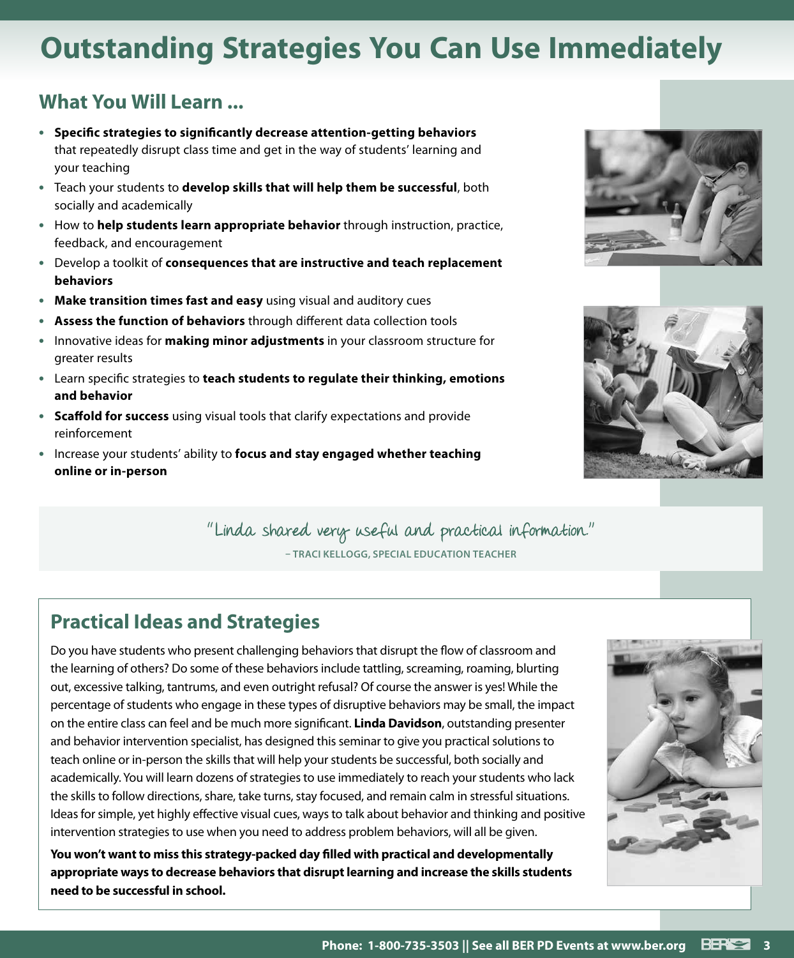## **Outstanding Strategies You Can Use Immediately**

### **What You Will Learn ...**

- **• Specific strategies to significantly decrease attention-getting behaviors**  that repeatedly disrupt class time and get in the way of students' learning and your teaching
- **•** Teach your students to **develop skills that will help them be successful**, both socially and academically
- **•** How to **help students learn appropriate behavior** through instruction, practice, feedback, and encouragement
- **•** Develop a toolkit of **consequences that are instructive and teach replacement behaviors**
- **• Make transition times fast and easy** using visual and auditory cues
- **• Assess the function of behaviors** through different data collection tools
- **•** Innovative ideas for **making minor adjustments** in your classroom structure for greater results
- **•** Learn specific strategies to **teach students to regulate their thinking, emotions and behavior**
- **• Scaffold for success** using visual tools that clarify expectations and provide reinforcement
- **•** Increase your students' ability to **focus and stay engaged whether teaching online or in-person**





"Linda shared very useful and practical information." **– TRACI KELLOGG, SPECIAL EDUCATION TEACHER**

### **Practical Ideas and Strategies**

Do you have students who present challenging behaviors that disrupt the flow of classroom and the learning of others? Do some of these behaviors include tattling, screaming, roaming, blurting out, excessive talking, tantrums, and even outright refusal? Of course the answer is yes! While the percentage of students who engage in these types of disruptive behaviors may be small, the impact on the entire class can feel and be much more significant. **Linda Davidson**, outstanding presenter and behavior intervention specialist, has designed this seminar to give you practical solutions to teach online or in-person the skills that will help your students be successful, both socially and academically. You will learn dozens of strategies to use immediately to reach your students who lack the skills to follow directions, share, take turns, stay focused, and remain calm in stressful situations. Ideas for simple, yet highly effective visual cues, ways to talk about behavior and thinking and positive intervention strategies to use when you need to address problem behaviors, will all be given.

**You won't want to miss this strategy-packed day filled with practical and developmentally appropriate ways to decrease behaviors that disrupt learning and increase the skills students need to be successful in school.**

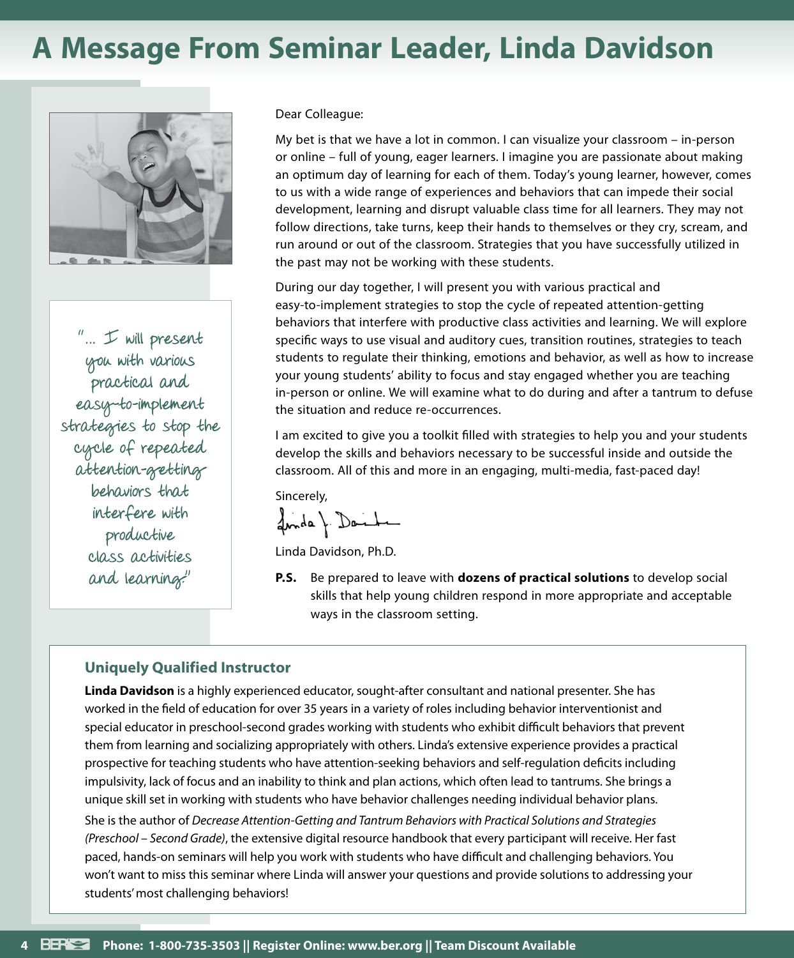## **A Message From Seminar Leader, Linda Davidson**



"… I will present you with various practical and easy-to-implement strategies to stop the cycle of repeated attention-getting behaviors that interfere with productive class activities and learning."

#### Dear Colleague:

My bet is that we have a lot in common. I can visualize your classroom – in-person or online – full of young, eager learners. I imagine you are passionate about making an optimum day of learning for each of them. Today's young learner, however, comes to us with a wide range of experiences and behaviors that can impede their social development, learning and disrupt valuable class time for all learners. They may not follow directions, take turns, keep their hands to themselves or they cry, scream, and run around or out of the classroom. Strategies that you have successfully utilized in the past may not be working with these students.

During our day together, I will present you with various practical and easy-to-implement strategies to stop the cycle of repeated attention-getting behaviors that interfere with productive class activities and learning. We will explore specific ways to use visual and auditory cues, transition routines, strategies to teach students to regulate their thinking, emotions and behavior, as well as how to increase your young students' ability to focus and stay engaged whether you are teaching in-person or online. We will examine what to do during and after a tantrum to defuse the situation and reduce re-occurrences.

I am excited to give you a toolkit filled with strategies to help you and your students develop the skills and behaviors necessary to be successful inside and outside the classroom. All of this and more in an engaging, multi-media, fast-paced day!

Sincerely,

fonda & Danha

Linda Davidson, Ph.D.

**P.S.** Be prepared to leave with **dozens of practical solutions** to develop social skills that help young children respond in more appropriate and acceptable ways in the classroom setting.

#### **Uniquely Qualified Instructor**

**Linda Davidson** is a highly experienced educator, sought-after consultant and national presenter. She has worked in the field of education for over 35 years in a variety of roles including behavior interventionist and special educator in preschool-second grades working with students who exhibit difficult behaviors that prevent them from learning and socializing appropriately with others. Linda's extensive experience provides a practical prospective for teaching students who have attention-seeking behaviors and self-regulation deficits including impulsivity, lack of focus and an inability to think and plan actions, which often lead to tantrums. She brings a unique skill set in working with students who have behavior challenges needing individual behavior plans. She is the author of *Decrease Attention-Getting and Tantrum Behaviors with Practical Solutions and Strategies (Preschool – Second Grade)*, the extensive digital resource handbook that every participant will receive. Her fast paced, hands-on seminars will help you work with students who have difficult and challenging behaviors. You won't want to miss this seminar where Linda will answer your questions and provide solutions to addressing your students' most challenging behaviors!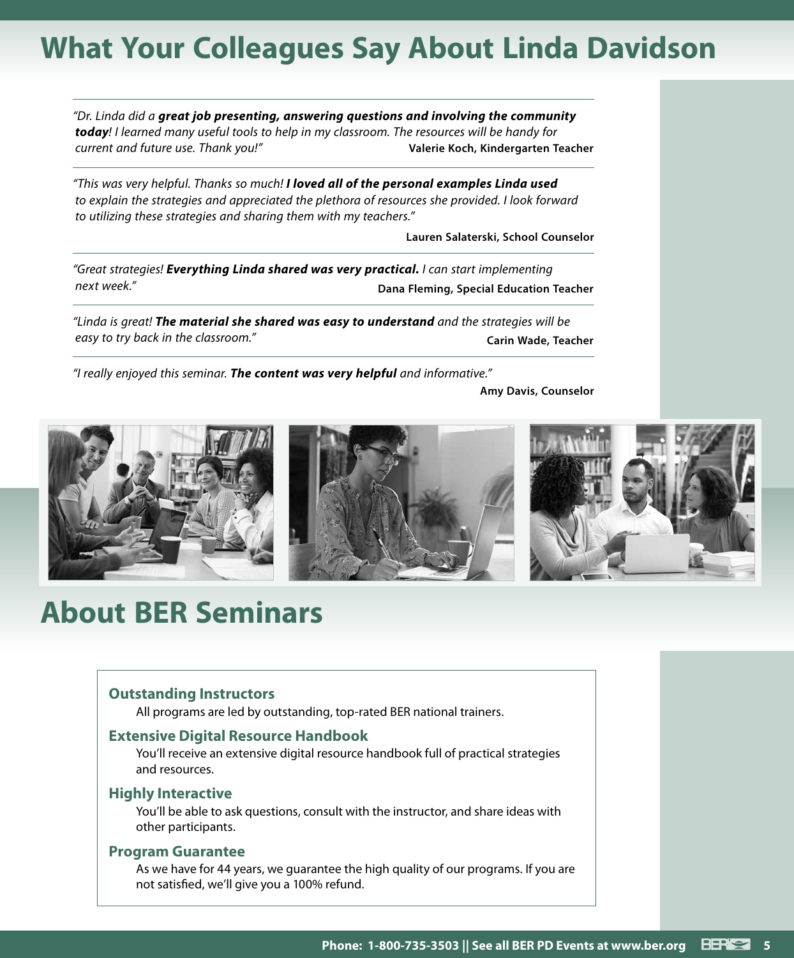## **What Your Colleagues Say About Linda Davidson**

*"Dr. Linda did a great job presenting, answering questions and involving the community today! I learned many useful tools to help in my classroom. The resources will be handy for current and future use. Thank you!"* **Valerie Koch, Kindergarten Teacher**

*"This was very helpful. Thanks so much! I loved all of the personal examples Linda used to explain the strategies and appreciated the plethora of resources she provided. I look forward to utilizing these strategies and sharing them with my teachers."*

**Lauren Salaterski, School Counselor**

*"Great strategies! Everything Linda shared was very practical. I can start implementing next week."* **Dana Fleming, Special Education Teacher**

*"Linda is great! The material she shared was easy to understand and the strategies will be*  easy to try back in the classroom." **Carin Wade, Teacher Carin Wade, Teacher** 

*"I really enjoyed this seminar. The content was very helpful and informative."*

**Amy Davis, Counselor**



## **About BER Seminars**

#### **Outstanding Instructors**

All programs are led by outstanding, top-rated BER national trainers.

#### **Extensive Digital Resource Handbook**

You'll receive an extensive digital resource handbook full of practical strategies and resources.

#### **Highly Interactive**

You'll be able to ask questions, consult with the instructor, and share ideas with other participants.

#### **Program Guarantee**

As we have for 44 years, we guarantee the high quality of our programs. If you are not satisfied, we'll give you a 100% refund.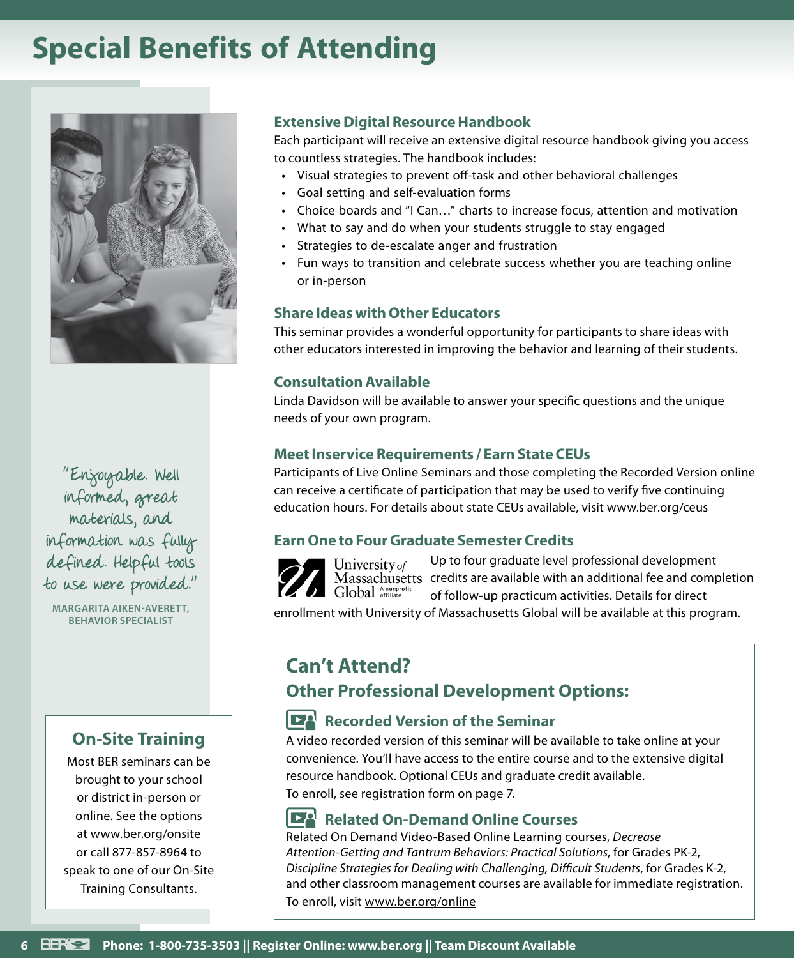## **Special Benefits of Attending**



"Enjoyable. Well informed, great materials, and information was fully defined. Helpful tools to use were provided."

**MARGARITA AIKEN-AVERETT, BEHAVIOR SPECIALIST**

### **On-Site Training**

Most BER seminars can be brought to your school or district in-person or online. See the options at www.ber.org/onsite or call 877-857-8964 to speak to one of our On-Site Training Consultants.

#### **Extensive Digital Resource Handbook**

Each participant will receive an extensive digital resource handbook giving you access to countless strategies. The handbook includes:

- Visual strategies to prevent off-task and other behavioral challenges
- Goal setting and self-evaluation forms
- Choice boards and "I Can…" charts to increase focus, attention and motivation
- What to say and do when your students struggle to stay engaged
- Strategies to de-escalate anger and frustration
- Fun ways to transition and celebrate success whether you are teaching online or in-person

#### **Share Ideas with Other Educators**

This seminar provides a wonderful opportunity for participants to share ideas with other educators interested in improving the behavior and learning of their students.

#### **Consultation Available**

Linda Davidson will be available to answer your specific questions and the unique needs of your own program.

#### **Meet Inservice Requirements / Earn State CEUs**

Participants of Live Online Seminars and those completing the Recorded Version online can receive a certificate of participation that may be used to verify five continuing education hours. For details about state CEUs available, visit www.ber.org/ceus

#### **Earn One to Four Graduate Semester Credits**



Up to four graduate level professional development University of Massachusetts credits are available with an additional fee and completion Global Anonprofit of follow-up practicum activities. Details for direct

enrollment with University of Massachusetts Global will be available at this program.

### **Can't Attend?**

### **Other Professional Development Options:**

#### **Recorded Version of the Seminar**

A video recorded version of this seminar will be available to take online at your convenience. You'll have access to the entire course and to the extensive digital resource handbook. Optional CEUs and graduate credit available. To enroll, see registration form on page 7.

#### **DA Related On-Demand Online Courses**

Related On Demand Video-Based Online Learning courses, *Decrease Attention-Getting and Tantrum Behaviors: Practical Solutions*, for Grades PK-2, *Discipline Strategies for Dealing with Challenging, Difficult Students*, for Grades K-2, and other classroom management courses are available for immediate registration. To enroll, visit www.ber.org/online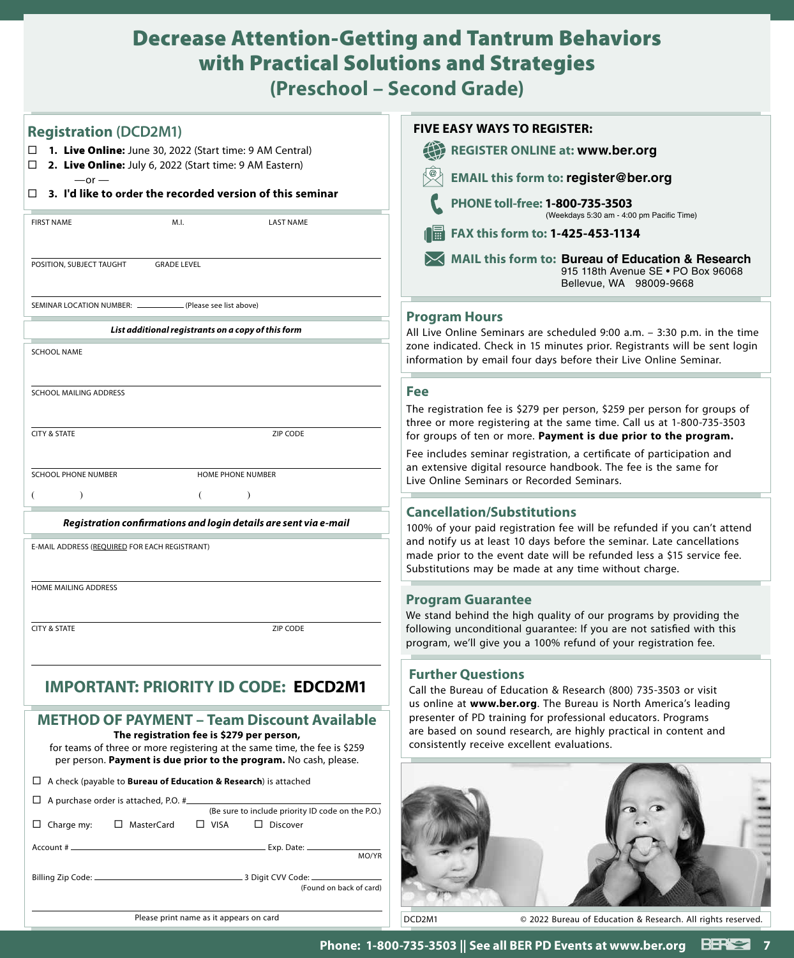### Decrease Attention-Getting and Tantrum Behaviors with Practical Solutions and Strategies **(Preschool – Second Grade)**

| <b>ICSCITUDE SCCUTTE STRUCT</b>                                                                                                                                                                                                                                                                                                                               |                                                                                                                                                                                                                                                                                                                                                    |
|---------------------------------------------------------------------------------------------------------------------------------------------------------------------------------------------------------------------------------------------------------------------------------------------------------------------------------------------------------------|----------------------------------------------------------------------------------------------------------------------------------------------------------------------------------------------------------------------------------------------------------------------------------------------------------------------------------------------------|
| <b>Registration (DCD2M1)</b><br>$\Box$ 1. Live Online: June 30, 2022 (Start time: 9 AM Central)<br>2. Live Online: July 6, 2022 (Start time: 9 AM Eastern)<br>□<br>$-$ or $-$<br>3. I'd like to order the recorded version of this seminar<br>$\Box$                                                                                                          | <b>FIVE EASY WAYS TO REGISTER:</b><br>$\bigoplus$<br><b>REGISTER ONLINE at: www.ber.org</b><br><b>EMAIL this form to: register@ber.org</b><br>PHONE toll-free: 1-800-735-3503                                                                                                                                                                      |
| M.I.<br><b>FIRST NAME</b><br><b>LAST NAME</b><br>POSITION, SUBJECT TAUGHT<br><b>GRADE LEVEL</b>                                                                                                                                                                                                                                                               | (Weekdays 5:30 am - 4:00 pm Pacific Time)<br>FAX this form to: 1-425-453-1134<br>             <br>MAIL this form to: Bureau of Education & Research<br>915 118th Avenue SE . PO Box 96068<br>Bellevue, WA 98009-9668                                                                                                                               |
| SEMINAR LOCATION NUMBER: __<br>(Please see list above)<br>List additional registrants on a copy of this form<br><b>SCHOOL NAME</b>                                                                                                                                                                                                                            | <b>Program Hours</b><br>All Live Online Seminars are scheduled 9:00 a.m. - 3:30 p.m. in the time<br>zone indicated. Check in 15 minutes prior. Registrants will be sent login<br>information by email four days before their Live Online Seminar.                                                                                                  |
| SCHOOL MAILING ADDRESS<br><b>CITY &amp; STATE</b><br>ZIP CODE                                                                                                                                                                                                                                                                                                 | Fee<br>The registration fee is \$279 per person, \$259 per person for groups of<br>three or more registering at the same time. Call us at 1-800-735-3503<br>for groups of ten or more. Payment is due prior to the program.                                                                                                                        |
| <b>SCHOOL PHONE NUMBER</b><br>HOME PHONE NUMBER                                                                                                                                                                                                                                                                                                               | Fee includes seminar registration, a certificate of participation and<br>an extensive digital resource handbook. The fee is the same for<br>Live Online Seminars or Recorded Seminars.<br><b>Cancellation/Substitutions</b>                                                                                                                        |
| Registration confirmations and login details are sent via e-mail<br>E-MAIL ADDRESS (REQUIRED FOR EACH REGISTRANT)                                                                                                                                                                                                                                             | 100% of your paid registration fee will be refunded if you can't attend<br>and notify us at least 10 days before the seminar. Late cancellations<br>made prior to the event date will be refunded less a \$15 service fee.<br>Substitutions may be made at any time without charge.                                                                |
| HOME MAILING ADDRESS<br><b>CITY &amp; STATE</b><br>ZIP CODE                                                                                                                                                                                                                                                                                                   | <b>Program Guarantee</b><br>We stand behind the high quality of our programs by providing the<br>following unconditional guarantee: If you are not satisfied with this<br>program, we'll give you a 100% refund of your registration fee.                                                                                                          |
| <b>IMPORTANT: PRIORITY ID CODE: EDCD2M1</b><br><b>METHOD OF PAYMENT - Team Discount Available</b><br>The registration fee is \$279 per person,<br>for teams of three or more registering at the same time, the fee is \$259                                                                                                                                   | <b>Further Questions</b><br>Call the Bureau of Education & Research (800) 735-3503 or visit<br>us online at www.ber.org. The Bureau is North America's leading<br>presenter of PD training for professional educators. Programs<br>are based on sound research, are highly practical in content and<br>consistently receive excellent evaluations. |
| per person. Payment is due prior to the program. No cash, please.<br>$\Box$ A check (payable to <b>Bureau of Education &amp; Research</b> ) is attached<br>$\Box$ A purchase order is attached, P.O. #<br>(Be sure to include priority ID code on the P.O.)<br>$\Box$ Discover<br>□ MasterCard<br>$\Box$ VISA<br>$\Box$ Charge my:<br>(Found on back of card) | MO/YR                                                                                                                                                                                                                                                                                                                                              |
| Please print name as it appears on card                                                                                                                                                                                                                                                                                                                       | DCD2M1<br>© 2022 Bureau of Education & Research. All rights reserved.                                                                                                                                                                                                                                                                              |